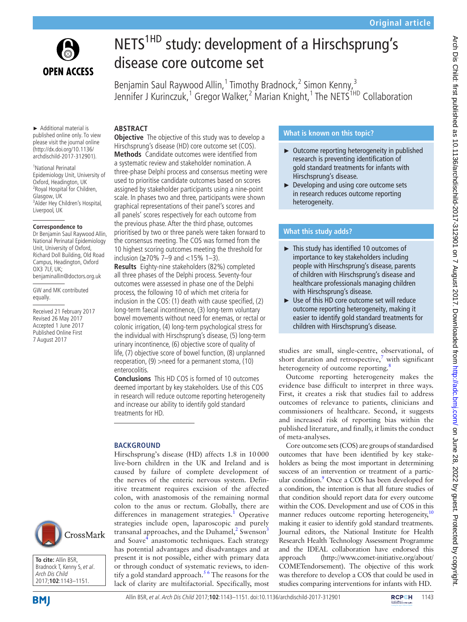

# NETS<sup>1HD</sup> study: development of a Hirschsprung's disease core outcome set

Benjamin Saul Raywood Allin,<sup>1</sup> Timothy Bradnock,<sup>2</sup> Simon Kenny,<sup>3</sup> Jennifer J Kurinczuk,<sup>1</sup> Gregor Walker,<sup>2</sup> Marian Knight,<sup>1</sup> The NETS<sup>1HD</sup> Collaboration

► Additional material is published online only. To view please visit the journal online (http://dx.doi.org/10.1136/ archdischild-2017-312901).

1 National Perinatal Epidemiology Unit, University of Oxford, Headington, UK <sup>2</sup> Royal Hospital for Children, Glasgow, UK 3 Alder Hey Children's Hospital, Liverpool, UK

#### **Correspondence to**

Dr Benjamin Saul Raywood Allin, National Perinatal Epidemiology Unit, University of Oxford, Richard Doll Building, Old Road Campus, Headington, Oxford OX3 7LF, UK; benjaminallin@doctors.org.uk

GW and MK contributed equally.

Received 21 February 2017 Revised 26 May 2017 Accepted 1 June 2017 Published Online First 7 August 2017



**To cite:** Allin BSR, Bradnock T, Kenny S, et al. Arch Dis Child 2017;**102**:1143–1151.

## **Abstract**

**Objective** The objective of this study was to develop a Hirschsprung's disease (HD) core outcome set (COS). **Methods** Candidate outcomes were identified from a systematic review and stakeholder nomination. A three-phase Delphi process and consensus meeting were used to prioritise candidate outcomes based on scores assigned by stakeholder participants using a nine-point scale. In phases two and three, participants were shown graphical representations of their panel's scores and all panels' scores respectively for each outcome from the previous phase. After the third phase, outcomes prioritised by two or three panels were taken forward to the consensus meeting. The COS was formed from the 10 highest scoring outcomes meeting the threshold for inclusion (≥70% 7–9 and <15% 1–3).

**Results** Eighty-nine stakeholders (82%) completed all three phases of the Delphi process. Seventy-four outcomes were assessed in phase one of the Delphi process, the following 10 of which met criteria for inclusion in the COS: (1) death with cause specified, (2) long-term faecal incontinence, (3) long-term voluntary bowel movements without need for enemas, or rectal or colonic irrigation, (4) long-term psychological stress for the individual with Hirschsprung's disease, (5) long-term urinary incontinence, (6) objective score of quality of life, (7) objective score of bowel function, (8) unplanned reoperation, (9) >need for a permanent stoma, (10) enterocolitis.

**Conclusions** This HD COS is formed of 10 outcomes deemed important by key stakeholders. Use of this COS in research will reduce outcome reporting heterogeneity and increase our ability to identify gold standard treatments for HD.

### **BACKGROUND**

Hirschsprung's disease (HD) affects 1.8 in 10000 live-born children in the UK and Ireland and is caused by failure of complete development of the nerves of the enteric nervous system. Definitive treatment requires excision of the affected colon, with anastomosis of the remaining normal colon to the anus or rectum. Globally, there are differences in management strategies.<sup>[1](#page-8-0)</sup> Operative strategies include open, laparoscopic and purely transanal approaches, and the Duhamel, $^2$  Swenson $^3$  $^3$ and Soave<sup>[4](#page-8-3)</sup> anastomotic techniques. Each strategy has potential advantages and disadvantages and at present it is not possible, either with primary data or through conduct of systematic reviews, to identify a gold standard approach.<sup>56</sup> The reasons for the lack of clarity are multifactorial. Specifically, most

## **What is known on this topic?**

- ► Outcome reporting heterogeneity in published research is preventing identification of gold standard treatments for infants with Hirschsprung's disease.
- ► Developing and using core outcome sets in research reduces outcome reporting heterogeneity.

## **What this study adds?**

- ► This study has identified 10 outcomes of importance to key stakeholders including people with Hirschsprung's disease, parents of children with Hirschsprung's disease and healthcare professionals managing children with Hirschsprung's disease.
- ► Use of this HD core outcome set will reduce outcome reporting heterogeneity, making it easier to identify gold standard treatments for children with Hirschsprung's disease.

studies are small, single-centre, observational, of short duration and retrospective,<sup>[7](#page-8-5)</sup> with significant heterogeneity of outcome reporting.<sup>[8](#page-8-6)</sup>

Outcome reporting heterogeneity makes the evidence base difficult to interpret in three ways. First, it creates a risk that studies fail to address outcomes of relevance to patients, clinicians and commissioners of healthcare. Second, it suggests and increased risk of reporting bias within the published literature, and finally, it limits the conduct of meta-analyses.

Core outcome sets (COS) are groups of standardised outcomes that have been identified by key stakeholders as being the most important in determining success of an intervention or treatment of a partic-ular condition.<sup>[9](#page-8-7)</sup> Once a COS has been developed for a condition, the intention is that all future studies of that condition should report data for every outcome within the COS. Development and use of COS in this manner reduces outcome reporting heterogeneity,<sup>[10](#page-8-8)</sup> making it easier to identify gold standard treatments. Journal editors, the National Institute for Health Research Health Technology Assessment Programme and the IDEAL collaboration have endorsed this approach [\(http://www.comet-initiative.org/about/](http://www.comet-initiative.org/about/COMETendorsement) [COMETendorsement](http://www.comet-initiative.org/about/COMETendorsement)). The objective of this work was therefore to develop a COS that could be used in studies comparing interventions for infants with HD.

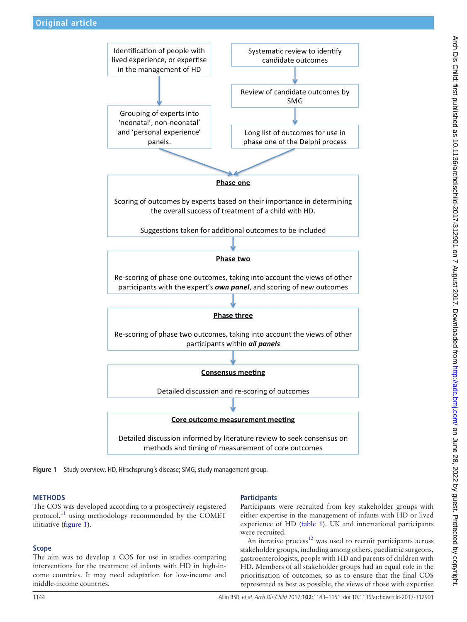

**Figure 1** Study overview. HD, Hirschsprung's disease; SMG, study management group.

#### **Methods**

The COS was developed according to a prospectively registered protocol, $^{11}$  $^{11}$  $^{11}$  using methodology recommended by the COMET initiative [\(figure](#page-1-0) 1).

#### **Scope**

The aim was to develop a COS for use in studies comparing interventions for the treatment of infants with HD in high-income countries. It may need adaptation for low-income and middle-income countries.

#### <span id="page-1-0"></span>**Participants**

Participants were recruited from key stakeholder groups with either expertise in the management of infants with HD or lived experience of HD ([table](#page-2-0) 1). UK and international participants were recruited.

An iterative process<sup>12</sup> was used to recruit participants across stakeholder groups, including among others, paediatric surgeons, gastroenterologists, people with HD and parents of children with HD. Members of all stakeholder groups had an equal role in the prioritisation of outcomes, so as to ensure that the final COS represented as best as possible, the views of those with expertise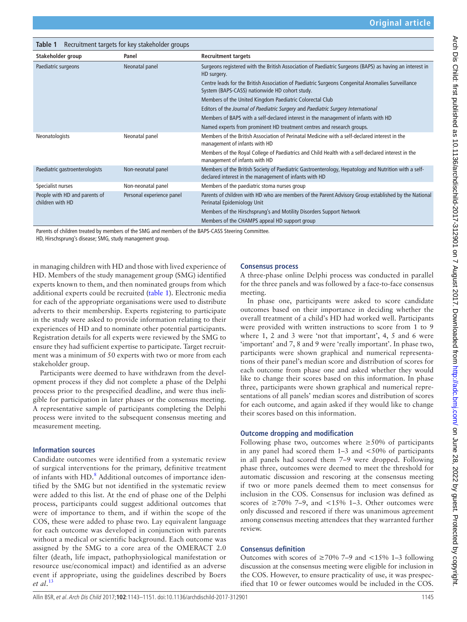<span id="page-2-0"></span>

| Table 1                                                                                      | Recruitment targets for key stakeholder groups |                                                                                                                                                                |
|----------------------------------------------------------------------------------------------|------------------------------------------------|----------------------------------------------------------------------------------------------------------------------------------------------------------------|
| Stakeholder group                                                                            | Panel                                          | <b>Recruitment targets</b>                                                                                                                                     |
| Paediatric surgeons                                                                          | Neonatal panel                                 | Surgeons registered with the British Association of Paediatric Surgeons (BAPS) as having an interest in<br>HD surgery.                                         |
|                                                                                              |                                                | Centre leads for the British Association of Paediatric Surgeons Congenital Anomalies Surveillance<br>System (BAPS-CASS) nationwide HD cohort study.            |
|                                                                                              |                                                | Members of the United Kingdom Paediatric Colorectal Club                                                                                                       |
|                                                                                              |                                                | Editors of the Journal of Paediatric Surgery and Paediatric Surgery International                                                                              |
|                                                                                              |                                                | Members of BAPS with a self-declared interest in the management of infants with HD                                                                             |
|                                                                                              |                                                | Named experts from prominent HD treatment centres and research groups.                                                                                         |
| Neonatologists                                                                               | Neonatal panel                                 | Members of the British Association of Perinatal Medicine with a self-declared interest in the<br>management of infants with HD                                 |
|                                                                                              |                                                | Members of the Royal College of Paediatrics and Child Health with a self-declared interest in the<br>management of infants with HD                             |
| Paediatric gastroenterologists                                                               | Non-neonatal panel                             | Members of the British Society of Paediatric Gastroenterology, Hepatology and Nutrition with a self-<br>declared interest in the management of infants with HD |
| Specialist nurses                                                                            | Non-neonatal panel                             | Members of the paediatric stoma nurses group                                                                                                                   |
| People with HD and parents of<br>children with HD                                            | Personal experience panel                      | Parents of children with HD who are members of the Parent Advisory Group established by the National<br>Perinatal Epidemiology Unit                            |
|                                                                                              |                                                | Members of the Hirschsprung's and Motility Disorders Support Network                                                                                           |
|                                                                                              |                                                | Members of the CHAMPS appeal HD support group                                                                                                                  |
| Brown of different and brown brought contained and continued the BABC CACC Cardian Completer |                                                |                                                                                                                                                                |

rents of children treated by members of the SMG and members of the BAPS-CASS Steering Committee

HD, Hirschsprung's disease; SMG, study management group.

in managing children with HD and those with lived experience of HD. Members of the study management group (SMG) identified experts known to them, and then nominated groups from which additional experts could be recruited ([table](#page-2-0) 1). Electronic media for each of the appropriate organisations were used to distribute adverts to their membership. Experts registering to participate in the study were asked to provide information relating to their experiences of HD and to nominate other potential participants. Registration details for all experts were reviewed by the SMG to ensure they had sufficient expertise to participate. Target recruitment was a minimum of 50 experts with two or more from each stakeholder group.

Participants were deemed to have withdrawn from the development process if they did not complete a phase of the Delphi process prior to the prespecified deadline, and were thus ineligible for participation in later phases or the consensus meeting. A representative sample of participants completing the Delphi process were invited to the subsequent consensus meeting and measurement meeting.

#### **Information sources**

Candidate outcomes were identified from a systematic review of surgical interventions for the primary, definitive treatment of infants with HD.<sup>[8](#page-8-6)</sup> Additional outcomes of importance identified by the SMG but not identified in the systematic review were added to this list. At the end of phase one of the Delphi process, participants could suggest additional outcomes that were of importance to them, and if within the scope of the COS, these were added to phase two. Lay equivalent language for each outcome was developed in conjunction with parents without a medical or scientific background. Each outcome was assigned by the SMG to a core area of the OMERACT 2.0 filter (death, life impact, pathophysiological manifestation or resource use/economical impact) and identified as an adverse event if appropriate, using the guidelines described by Boers *et al*. [13](#page-8-11)

#### **Consensus process**

A three-phase online Delphi process was conducted in parallel for the three panels and was followed by a face-to-face consensus meeting.

In phase one, participants were asked to score candidate outcomes based on their importance in deciding whether the overall treatment of a child's HD had worked well. Participants were provided with written instructions to score from 1 to 9 where 1, 2 and 3 were 'not that important', 4, 5 and 6 were 'important' and 7, 8 and 9 were 'really important'. In phase two, participants were shown graphical and numerical representations of their panel's median score and distribution of scores for each outcome from phase one and asked whether they would like to change their scores based on this information. In phase three, participants were shown graphical and numerical representations of all panels' median scores and distribution of scores for each outcome, and again asked if they would like to change their scores based on this information.

#### **Outcome dropping and modification**

Following phase two, outcomes where  $\geq 50\%$  of participants in any panel had scored them  $1-3$  and  $\lt 50\%$  of participants in all panels had scored them 7–9 were dropped. Following phase three, outcomes were deemed to meet the threshold for automatic discussion and rescoring at the consensus meeting if two or more panels deemed them to meet consensus for inclusion in the COS. Consensus for inclusion was defined as scores of  $\geq 70\%$  7–9, and <15% 1–3. Other outcomes were only discussed and rescored if there was unanimous agreement among consensus meeting attendees that they warranted further review.

#### **Consensus definition**

Outcomes with scores of  $\geq 70\%$  7–9 and <15% 1–3 following discussion at the consensus meeting were eligible for inclusion in the COS. However, to ensure practicality of use, it was prespecified that 10 or fewer outcomes would be included in the COS.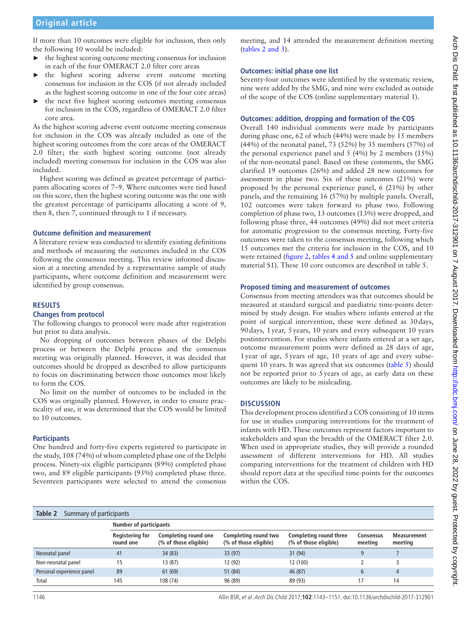If more than 10 outcomes were eligible for inclusion, then only the following 10 would be included:

- ► the highest scoring outcome meeting consensus for inclusion in each of the four OMERACT 2.0 filter core areas
- ► the highest scoring adverse event outcome meeting consensus for inclusion in the COS (if not already included as the highest scoring outcome in one of the four core areas)
- ► the next five highest scoring outcomes meeting consensus for inclusion in the COS, regardless of OMERACT 2.0 filter core area.

As the highest scoring adverse event outcome meeting consensus for inclusion in the COS was already included as one of the highest scoring outcomes from the core areas of the OMERACT 2.0 filter; the sixth highest scoring outcome (not already included) meeting consensus for inclusion in the COS was also included.

Highest scoring was defined as greatest percentage of participants allocating scores of 7–9. Where outcomes were tied based on this score, then the highest scoring outcome was the one with the greatest percentage of participants allocating a score of 9, then 8, then 7, continued through to 1 if necessary.

#### **Outcome definition and measurement**

A literature review was conducted to identify existing definitions and methods of measuring the outcomes included in the COS following the consensus meeting. This review informed discussion at a meeting attended by a representative sample of study participants, where outcome definition and measurement were identified by group consensus.

#### **Results**

#### **Changes from protocol**

The following changes to protocol were made after registration but prior to data analysis.

No dropping of outcomes between phases of the Delphi process or between the Delphi process and the consensus meeting was originally planned. However, it was decided that outcomes should be dropped as described to allow participants to focus on discriminating between those outcomes most likely to form the COS.

No limit on the number of outcomes to be included in the COS was originally planned. However, in order to ensure practicality of use, it was determined that the COS would be limited to 10 outcomes.

#### **Participants**

One hundred and forty-five experts registered to participate in the study, 108 (74%) of whom completed phase one of the Delphi process. Ninety-six eligible participants (89%) completed phase two, and 89 eligible participants (93%) completed phase three. Seventeen participants were selected to attend the consensus meeting, and 14 attended the measurement definition meeting (tables [2 and 3](#page-3-0)).

#### **Outcomes: initial phase one list**

Seventy-four outcomes were identified by the systematic review, nine were added by the SMG, and nine were excluded as outside of the scope of the COS (online s[upplementary material 1\)](https://dx.doi.org/10.1136/archdischild-2017-312901).

#### **Outcomes: addition, dropping and formation of the COS**

Overall 140 individual comments were made by participants during phase one, 62 of which (44%) were made by 15 members (44%) of the neonatal panel, 73 (52%) by 35 members (57%) of the personal experience panel and 5 (4%) by 2 members (15%) of the non-neonatal panel. Based on these comments, the SMG clarified 19 outcomes (26%) and added 28 new outcomes for assessment in phase two. Six of these outcomes (21%) were proposed by the personal experience panel, 6 (21%) by other panels, and the remaining 16 (57%) by multiple panels. Overall, 102 outcomes were taken forward to phase two. Following completion of phase two, 13 outcomes (13%) were dropped, and following phase three, 44 outcomes (49%) did not meet criteria for automatic progression to the consensus meeting. Forty-five outcomes were taken to the consensus meeting, following which 15 outcomes met the criteria for inclusion in the COS, and 10 were retained [\(figure](#page-5-0) 2, tables [4 and 5](#page-6-0) and online s[upplementary](https://dx.doi.org/10.1136/archdischild-2017-312901) [material S1](https://dx.doi.org/10.1136/archdischild-2017-312901)). These 10 core outcomes are described in table 5.

#### **Proposed timing and measurement of outcomes**

Consensus from meeting attendees was that outcomes should be measured at standard surgical and paediatric time-points determined by study design. For studies where infants entered at the point of surgical intervention, these were defined as 30days, 90days, 1year, 5years, 10 years and every subsequent 10 years postintervention. For studies where infants entered at a set age, outcome measurement points were defined as 28 days of age, 1year of age, 5years of age, 10 years of age and every subsequent 10 years. It was agreed that six outcomes (table 5) should not be reported prior to 5years of age, as early data on these outcomes are likely to be misleading.

#### **Discussion**

This development process identified a COS consisting of 10 items for use in studies comparing interventions for the treatment of infants with HD. These outcomes represent factors important to stakeholders and span the breadth of the OMERACT filter 2.0. When used in appropriate studies, they will provide a rounded assessment of different interventions for HD. All studies comparing interventions for the treatment of children with HD should report data at the specified time-points for the outcomes within the COS.

#### <span id="page-3-0"></span>**Table 2** Summary of participants

|                           | Number of participants              |                                               |                                               |                                                 |                             |                               |
|---------------------------|-------------------------------------|-----------------------------------------------|-----------------------------------------------|-------------------------------------------------|-----------------------------|-------------------------------|
|                           | <b>Registering for</b><br>round one | Completing round one<br>(% of those eligible) | Completing round two<br>(% of those eligible) | Completing round three<br>(% of those eligible) | <b>Consensus</b><br>meeting | <b>Measurement</b><br>meeting |
| Neonatal panel            | 41                                  | 34(83)                                        | 33 (97)                                       | 31 (94)                                         |                             |                               |
| Non-neonatal panel        | 15                                  | 13 (87)                                       | 12 (92)                                       | 12 (100)                                        |                             |                               |
| Personal experience panel | 89                                  | 61 (69)                                       | 51 (84)                                       | 46 (87)                                         | $\mathfrak b$               |                               |
| Total                     | 145                                 | 108 (74)                                      | 96 (89)                                       | 89 (93)                                         | 17                          | 14                            |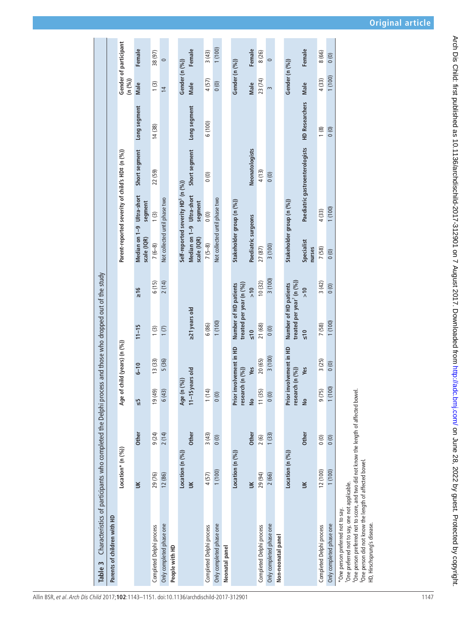| Characteristics of participants who completed the Delphi pro<br>Table 3                                                                                                                                                                                                                                    |                   |              |                           |                              | cess and those who dropped out of the study                    |               |                           |                                                |                                                 |                       |                |                       |
|------------------------------------------------------------------------------------------------------------------------------------------------------------------------------------------------------------------------------------------------------------------------------------------------------------|-------------------|--------------|---------------------------|------------------------------|----------------------------------------------------------------|---------------|---------------------------|------------------------------------------------|-------------------------------------------------|-----------------------|----------------|-----------------------|
| Parents of children with HD                                                                                                                                                                                                                                                                                |                   |              |                           |                              |                                                                |               |                           |                                                |                                                 |                       |                |                       |
|                                                                                                                                                                                                                                                                                                            | Location* (n (%)) |              |                           | Age of child (years) (n (%)) |                                                                |               |                           |                                                | Parent-reported severity of child's HD# (n (%)) |                       | (n (%))        | Gender of participant |
|                                                                                                                                                                                                                                                                                                            | š                 | Other        | ςp                        | $6 - 10$                     | $11 - 15$                                                      | $\frac{1}{2}$ | scale (IQR)               | Median on 1-9 Ultra-short<br>segment           | Short segment                                   | Long segment          | Male           | Female                |
| Completed Delphi process                                                                                                                                                                                                                                                                                   | 29 (76)           | 9(24)        | $(6b)$ $(19)$             | 13(33)                       | 1(3)                                                           | 6(15)         | $7(6-8)$                  | 1(3)                                           | 22 (59)                                         | 14 (38)               | 1(3)           | 38 (97)               |
| Only completed phase one                                                                                                                                                                                                                                                                                   | 12 (86)           | 2(14)        | 6(43)                     | 5 (36)                       | 1(7)                                                           | 2(14)         |                           | Not collected until phase two                  |                                                 |                       | $\overline{4}$ | $\circ$               |
| People with HD                                                                                                                                                                                                                                                                                             |                   |              |                           |                              |                                                                |               |                           |                                                |                                                 |                       |                |                       |
|                                                                                                                                                                                                                                                                                                            | Location (n (%))  |              | Age (n (%))               |                              |                                                                |               |                           | Self-reported severity HD <sup>§</sup> (n (%)) |                                                 |                       | Gender (n (%)) |                       |
|                                                                                                                                                                                                                                                                                                            | š                 | <b>Other</b> | 11-15 years old           |                              | 21 years old                                                   |               | scale (IQR)               | Median on 1-9 Ultra-short<br>segment           | Short segment                                   | Long segment          | Male           | Female                |
| Completed Delphi process                                                                                                                                                                                                                                                                                   | 4 (57)            | 3(43)        | 1(14)                     |                              | 6(86)                                                          |               | $7(5-8)$                  | 0(0)                                           | (0)                                             | 6 (100)               | 4 (57)         | 3(43)                 |
| Only completed phase one                                                                                                                                                                                                                                                                                   | 1(100)            | (0)          | (0)                       |                              | 1(100)                                                         |               |                           | Not collected until phase two                  |                                                 |                       | (0)            | 1(100)                |
| Neonatal panel                                                                                                                                                                                                                                                                                             |                   |              |                           |                              |                                                                |               |                           |                                                |                                                 |                       |                |                       |
|                                                                                                                                                                                                                                                                                                            | Location (n (%))  |              | research (n (%))<br>Prior | involvement in HD            | treated per year (n (%))<br>Number of HD patients              |               | Stakeholder group (n (%)) |                                                |                                                 |                       | Gender (n (%)) |                       |
|                                                                                                                                                                                                                                                                                                            | š                 | Other        | $\frac{1}{2}$             | Yes                          | $\frac{1}{2}$                                                  | $\frac{1}{2}$ | Paediatric surgeons       |                                                | Neonatologists                                  |                       | Male           | Female                |
| Completed Delphi process                                                                                                                                                                                                                                                                                   | 29 (94)           | 2(6)         | 11(35)                    | 20(65)                       | 21 (68)                                                        | 10(32)        | 27 (87)                   |                                                | 4(13)                                           |                       | 23 (74)        | 8 (26)                |
| Only completed phase one                                                                                                                                                                                                                                                                                   | 2 (66)            | 1(33)        | 0(0)                      | 3(100)                       | 0(0)                                                           | 3(100)        | 3(100)                    |                                                | (0)                                             |                       | $\sim$         | $\circ$               |
| Non-neonatal panel                                                                                                                                                                                                                                                                                         |                   |              |                           |                              |                                                                |               |                           |                                                |                                                 |                       |                |                       |
|                                                                                                                                                                                                                                                                                                            | Location (n (%))  |              | research (n (%))<br>Prior | involvement in HD            | treated per year <sup>1</sup> (n (%))<br>Number of HD patients |               | Stakeholder group (n (%)) |                                                |                                                 |                       | Gender (n (%)) |                       |
|                                                                                                                                                                                                                                                                                                            | š                 | <b>Other</b> | $\frac{1}{2}$             | Yes                          | $\frac{1}{2}$                                                  | $\frac{1}{2}$ | Specialist<br>nurses      |                                                | Paediatric gastroenterologists                  | <b>HD Researchers</b> | Male           | Female                |
| Completed Delphi process                                                                                                                                                                                                                                                                                   | 12 (100)          | $\circ$      | 9 (75)                    | 3(25)                        | 7(58)                                                          | 3(42)         | 7(58)                     | 4 (33)                                         |                                                 | 1(8)                  | 4 (33)         | 8 (66)                |
| Only completed phase one                                                                                                                                                                                                                                                                                   | (100)             | (0)          | 1(100)                    | 0(0)                         | (100)                                                          | 0(0)          | (0)                       | 1(100)                                         |                                                 | 0(0)                  | 1(100)         | 0(0)                  |
| <sup>+</sup> One person preferred not to score, and two did not know the length of affected bowel.<br><sup>5</sup> One person did not know the length of affected bowel.<br><sup>t</sup> One preferred not to say, one not applicable.<br>*One person preferred not to say.<br>HD, Hirschsprung's disease. |                   |              |                           |                              |                                                                |               |                           |                                                |                                                 |                       |                |                       |

 $\mathbf{r}$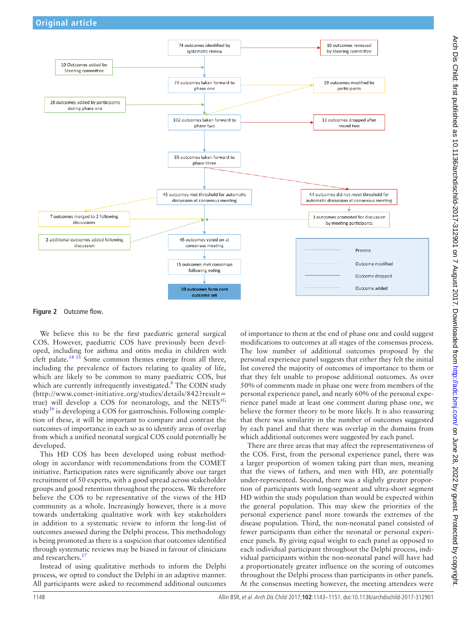

<span id="page-5-0"></span>**Figure 2** Outcome flow.

We believe this to be the first paediatric general surgical COS. However, paediatric COS have previously been developed, including for asthma and otitis media in children with cleft palate.<sup>[14 15](#page-8-12)</sup> Some common themes emerge from all three, including the prevalence of factors relating to quality of life, which are likely to be common to many paediatric COS, but which are currently infrequently investigated. $8$  The COIN study ([http://www.comet-initiative.org/studies/details/842?result=](http://www.comet-initiative.org/studies/details/842?result=true) [true\)](http://www.comet-initiative.org/studies/details/842?result=true) will develop a COS for neonatology, and the NETS<sup>1G</sup> study<sup>[16](#page-8-13)</sup> is developing a COS for gastroschisis. Following completion of these, it will be important to compare and contrast the outcomes of importance in each so as to identify areas of overlap from which a unified neonatal surgical COS could potentially be developed.

This HD COS has been developed using robust methodology in accordance with recommendations from the COMET initiative. Participation rates were significantly above our target recruitment of 50 experts, with a good spread across stakeholder groups and good retention throughout the process. We therefore believe the COS to be representative of the views of the HD community as a whole. Increasingly however, there is a move towards undertaking qualitative work with key stakeholders in addition to a systematic review to inform the long-list of outcomes assessed during the Delphi process. This methodology is being promoted as there is a suspicion that outcomes identified through systematic reviews may be biased in favour of clinicians and researchers.<sup>17</sup>

Instead of using qualitative methods to inform the Delphi process, we opted to conduct the Delphi in an adaptive manner. All participants were asked to recommend additional outcomes

of importance to them at the end of phase one and could suggest modifications to outcomes at all stages of the consensus process. The low number of additional outcomes proposed by the personal experience panel suggests that either they felt the initial list covered the majority of outcomes of importance to them or that they felt unable to propose additional outcomes. As over 50% of comments made in phase one were from members of the personal experience panel, and nearly 60% of the personal experience panel made at least one comment during phase one, we believe the former theory to be more likely. It is also reassuring that there was similarity in the number of outcomes suggested by each panel and that there was overlap in the domains from which additional outcomes were suggested by each panel.

There are three areas that may affect the representativeness of the COS. First, from the personal experience panel, there was a larger proportion of women taking part than men, meaning that the views of fathers, and men with HD, are potentially under-represented. Second, there was a slightly greater proportion of participants with long-segment and ultra-short segment HD within the study population than would be expected within the general population. This may skew the priorities of the personal experience panel more towards the extremes of the disease population. Third, the non-neonatal panel consisted of fewer participants than either the neonatal or personal experience panels. By giving equal weight to each panel as opposed to each individual participant throughout the Delphi process, individual participants within the non-neonatal panel will have had a proportionately greater influence on the scoring of outcomes throughout the Delphi process than participants in other panels. At the consensus meeting however, the meeting attendees were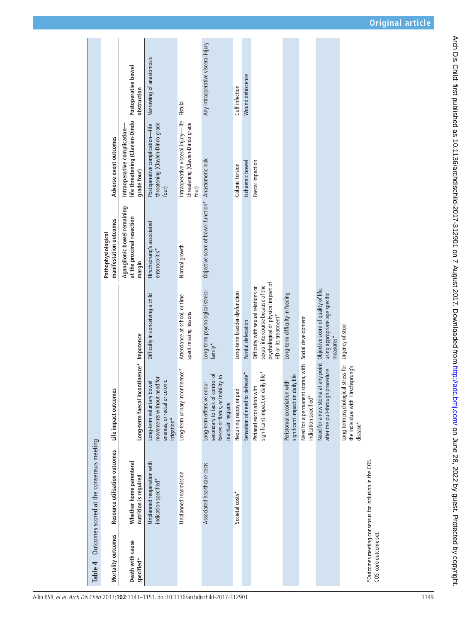| *Outcomes meeting consensus for inclusion in the COS.                                                                                                                                                                                                                                                                                                              |
|--------------------------------------------------------------------------------------------------------------------------------------------------------------------------------------------------------------------------------------------------------------------------------------------------------------------------------------------------------------------|
| Urgency of stool<br>Long-term psychological stress for<br>schsprung's<br>the individual with Hir<br>$d$ isease $^*$                                                                                                                                                                                                                                                |
| Need for a new stoma at any point Objective score of quality of life,<br>using appropriate age specific<br>measures*<br>procedure<br>after the pull-through                                                                                                                                                                                                        |
| indication specified*                                                                                                                                                                                                                                                                                                                                              |
| stoma, with Social development<br>significant impact on daily life<br>Peristomal excoriation with<br>Need for a permanent                                                                                                                                                                                                                                          |
| Faecal impaction<br>psychological or physical impact of<br>sexual intercourse because of the<br>Difficulty with sexual relations or<br>Long-term difficulty in feeding<br>HD or its treatment*<br>significant impact on daily life*<br>Perianal excoriation with                                                                                                   |
| Wound dehiscence<br>Ischaemic bowel<br>Painful defecation<br>Sensation of need to defecate*                                                                                                                                                                                                                                                                        |
| Cuff infection<br>Colonic torsion<br>Long-term bladder dysfunction<br>Requiring nappy or pad<br>Societal costs*                                                                                                                                                                                                                                                    |
| Objective score of bowel function* Anastomotic leak<br>$f$ amily*<br>secondary to lack of control of<br>faeces or flatus, or inability to<br>Long-term offensive odour<br>maintain hygiene<br>Associated healthcare costs                                                                                                                                          |
| Intraoperative visceral injury-life Fistula<br>threatening (Clavien-Dindo grade<br>four)<br>Normal growth<br>Long-term psychological stress-<br>Attendance at school, or time<br>spent missing lessons<br>Long-term urinary incontinence*<br>Unplanned readmission                                                                                                 |
| Narrowing of anastomosis<br>threatening (Clavien-Dindo grade<br>Postoperative complication-life<br>four)<br>Hirschsprung's associated<br>enterocolitis*<br>Difficulty in conceiving a child<br>movements without need for<br>enemas, or rectal or colonic<br>Long-term voluntary bowel<br>irrigation*<br>Unplanned reoperation with<br>indication specified*       |
| Any intraoperative visceral injury<br>Postoperative bowel<br>obstruction<br>life threatening (Clavien-Dindo<br>Intraoperative complication-<br>grade four)<br>Aganglionic bowel remaining<br>at the proximal resection<br>margin<br>Long-term faecal incontinence* Impotence<br>Whether home parenteral<br>nutrition is required<br>Death with cause<br>specified* |
| Adverse event outcomes<br>manifestation outcomes<br>Pathophysiological<br>Life impact outcomes<br>Resource utilisation outcomes                                                                                                                                                                                                                                    |

<span id="page-6-0"></span>Allin BSR, et al. Arch Dis Child 2017;**102**:1143–1151. doi:10.1136/archdischild-2017-312901 1149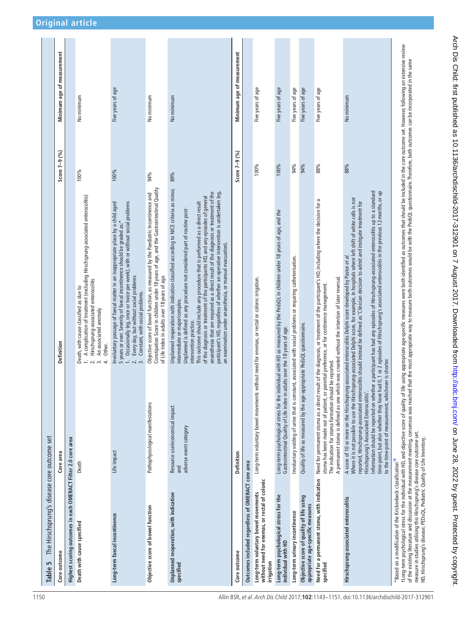| The Hirschsprung's disease core outcome set<br>Table 5                                                                                                                                                                             |                                                                                                                                                                                                                                                         |                                                                                                                                                                                                                                                                                                                                                                                                                                                                                                                                                                                                                                                                                          |                 |                            |
|------------------------------------------------------------------------------------------------------------------------------------------------------------------------------------------------------------------------------------|---------------------------------------------------------------------------------------------------------------------------------------------------------------------------------------------------------------------------------------------------------|------------------------------------------------------------------------------------------------------------------------------------------------------------------------------------------------------------------------------------------------------------------------------------------------------------------------------------------------------------------------------------------------------------------------------------------------------------------------------------------------------------------------------------------------------------------------------------------------------------------------------------------------------------------------------------------|-----------------|----------------------------|
| Core outcome                                                                                                                                                                                                                       | Core area                                                                                                                                                                                                                                               | Definition                                                                                                                                                                                                                                                                                                                                                                                                                                                                                                                                                                                                                                                                               | Score $7-9$ (%) | Minimum age of measurement |
| Highest scoring outcomes in each OMERACT Filter 2.0 core area                                                                                                                                                                      |                                                                                                                                                                                                                                                         |                                                                                                                                                                                                                                                                                                                                                                                                                                                                                                                                                                                                                                                                                          |                 |                            |
| Death with cause specified                                                                                                                                                                                                         | Death                                                                                                                                                                                                                                                   | A complication of treatment (excluding Hirschsprung-associated enterocolitis)<br>Hirschsprung-associated enterocolitis<br>Death, with cause classified as due to<br>An associated anomaly<br>Other.<br>$\vec{r}$<br>$\vec{m}$                                                                                                                                                                                                                                                                                                                                                                                                                                                            | 100%            | No minimum                 |
| Long-term faecal incontinence                                                                                                                                                                                                      | Life impact                                                                                                                                                                                                                                             | Involuntary passage of faecal matter in an inappropriate place by a child aged<br>1. Occasionally (eg, once or twice per week), with or without social problems<br>5 years or over. Severity of faecal incontinence should be graded as:*<br>Every day, but without social problems<br>Constant, with social problems.<br>$\dot{m}$                                                                                                                                                                                                                                                                                                                                                      | 100%            | Five years of age          |
| Objective score of bowel function                                                                                                                                                                                                  | Pathophysiological manifestations                                                                                                                                                                                                                       | Constipation Score in children under 18 years of age, and the Gastrointestinal Quality<br>Objective score of bowel function, as measured by the Paediatric Incontinence and<br>of Life Index in adults over 18 years of age.                                                                                                                                                                                                                                                                                                                                                                                                                                                             | 94%             | No minimum                 |
| Unplanned reoperation, with indication<br>specified                                                                                                                                                                                | Resource use/economical impact<br>adverse event category<br>and                                                                                                                                                                                         | Unplanned reoperation with indication classified according to NICE criteria as minor,<br>anaesthesia that are required as a direct result of the diagnosis or treatment of the<br>participant's HD, regardless of whether an operative intervention is undertaken (eg,<br>of the diagnosis or treatment of the participants HD, and any episodes of general<br>This outcome should include any procedure that is performed as a direct result<br>Unplanned is defined as any procedure not considered part of routine post-<br>an examination under anaesthesia, or manual evacuation).<br>intermediate or major/complex.<br>intervention practice.                                      | 89%             | No minimum                 |
| Core outcome                                                                                                                                                                                                                       | Definition                                                                                                                                                                                                                                              |                                                                                                                                                                                                                                                                                                                                                                                                                                                                                                                                                                                                                                                                                          | Score 7-9 (%)   | Minimum age of measurement |
| Outcomes included regardless of OMERACT core area                                                                                                                                                                                  |                                                                                                                                                                                                                                                         |                                                                                                                                                                                                                                                                                                                                                                                                                                                                                                                                                                                                                                                                                          |                 |                            |
| without need for enemas, or rectal of colonic<br>Long-term voluntary bowel movements<br>irrigation                                                                                                                                 | Long-term voluntary bowel movements without need for enemas, or rectal or colonic irrigation.                                                                                                                                                           |                                                                                                                                                                                                                                                                                                                                                                                                                                                                                                                                                                                                                                                                                          | 100%            | Five years of age          |
| Long-term psychological stress for the<br>individual with HD                                                                                                                                                                       | Gastrointestinal Quality of Life index in adults over the 18 years of age.                                                                                                                                                                              | Long-term psychological stress for the individual with HD as measured by the PedsQL in children under 18 years of age, and the                                                                                                                                                                                                                                                                                                                                                                                                                                                                                                                                                           | 100%            | Five years of age          |
| Long-term urinary incontinence                                                                                                                                                                                                     |                                                                                                                                                                                                                                                         | Involuntary voiding of urine that is constant, associated with social problems or requiring catheterisation.                                                                                                                                                                                                                                                                                                                                                                                                                                                                                                                                                                             | 94%             | Five years of age          |
| Objective score of quality of life using<br>appropriate age-specific measures                                                                                                                                                      | Quality of life as measured by the age-appropriate PedsQL questionnaire.                                                                                                                                                                                |                                                                                                                                                                                                                                                                                                                                                                                                                                                                                                                                                                                                                                                                                          | 94%             | Five years of age          |
| Need for a permanent stoma, with indication<br>specified                                                                                                                                                                           | A permanent stoma is defined as one which was created without the intention of later reversal.<br>stoma has been made out of patient, or parental preference, or for continence management.<br>be reported<br>The indication for stoma formation should | Need for permanent stoma as a direct result of the diagnosis, or treatment of the participant's HD, including where the decision for a                                                                                                                                                                                                                                                                                                                                                                                                                                                                                                                                                   | 88%             | Five years of age          |
| Hirschsprung-associated enterocolitis                                                                                                                                                                                              | to the time-point of measurement, whichever is shorter.<br>Hirschsprung's Associated Enterocolitis'.                                                                                                                                                    | Information should be reported on whether a participant has had any episodes of Hirschsprung-associated enterocolitis up to a standard<br>time-point, but also whether they have had 0, 1 or 2 episodes of Hirschsprung's associated enterocolitis in the previous 12 months, or up<br>Where it is not possible to use the Hirschsprung-associated Delphi score, for example, in hospitals where left shift of white cells is not<br>reported, Hirschsprung-associated enterocolitis should instead be defined as 'Clinician decision to admit and instigate treatment for<br>A score of 10 or more on the Hirschsprung-associated enterocolitis Delphi score developed by Pastor et al. | 88%             | No minimum                 |
| measure in studies utilising this Hirschsprung's disease core outcome set.<br>HD, Hirschsprung's disease; PEDsQL, Pediatric Quality of Life Inventory.<br>*Based on a modification of the Krickenbeck classification <sup>18</sup> |                                                                                                                                                                                                                                                         | t Long-term psychological stress for the individual with HD, and objective score of quality of life using appropriate age-specific measures were both identified as outcomes that should be included in the core outcome set.<br>of the existing literature and discussion at the measurement meeting, consensus was reached that the most appropriate way to measure both outcomes would be with the PedsQL questionnaire. Therefore, both outcomes can be inc                                                                                                                                                                                                                          |                 |                            |